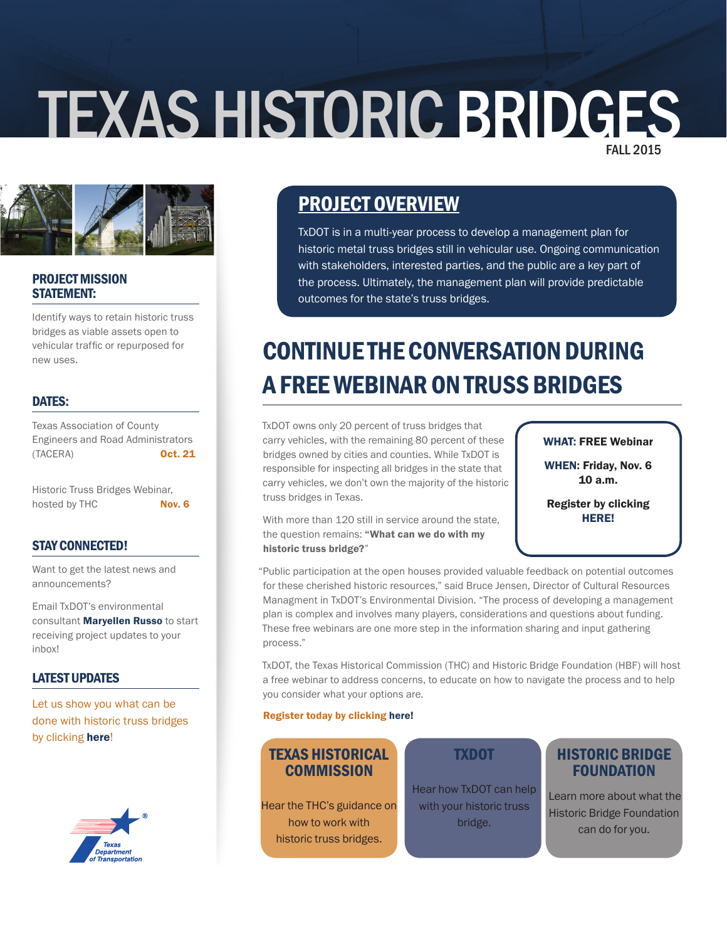# TEXAS HISTORIC BRIDGES FALL 2015



### PROJECT MISSION STATEMENT:

Identify ways to retain historic truss bridges as viable assets open to vehicular traffic or repurposed for new uses.

### DATES:

Texas Association of County Engineers and Road Administrators (TACERA) Oct. 21

Historic Truss Bridges Webinar, hosted by THC Nov. 6

### STAY CONNECTED!

Want to get the latest news and announcements?

Email TxDOT's environmental consultant **[Maryellen Russo](mailto: mrusso@blantonassociates.com)** to start receiving project updates to your inbox!

### LATEST UPDATES

Let us show you what can be done with historic truss bridges by clicking **[here](http://www.txdot.gov/inside-txdot/division/environmental/historic-bridge.html)!** 



### PROJECT OVERVIEW

TxDOT is in a multi-year process to develop a management plan for historic metal truss bridges still in vehicular use. Ongoing communication with stakeholders, interested parties, and the public are a key part of the process. Ultimately, the management plan will provide predictable outcomes for the state's truss bridges.

## CONTINUE THE CONVERSATION DURING A FREE WEBINAR ON TRUSS BRIDGES

TxDOT owns only 20 percent of truss bridges that carry vehicles, with the remaining 80 percent of these bridges owned by cities and counties. While TxDOT is responsible for inspecting all bridges in the state that carry vehicles, we don't own the majority of the historic truss bridges in Texas.

#### WHAT: FREE Webinar

WHEN: Friday, Nov. 6 10 a.m.

Register by clicking [HERE!](https://attendee.gotowebinar.com/register/4501893555201914625)

With more than 120 still in service around the state, the question remains: "What can we do with my

historic truss bridge?" "Public participation at the open houses provided valuable feedback on potential outcomes for these cherished historic resources," said Bruce Jensen, Director of Cultural Resources Managment in TxDOT's Environmental Division. "The process of developing a management plan is complex and involves many players, considerations and questions about funding. These free webinars are one more step in the information sharing and input gathering

TxDOT, the Texas Historical Commission (THC) and Historic Bridge Foundation (HBF) will host a free webinar to address concerns, to educate on how to navigate the process and to help you consider what your options are.

#### Register today by clicking [here!](https://attendee.gotowebinar.com/register/4501893555201914625)

process."

### [TEXAS HISTORICAL](www.thc.state.tx.us) **COMMISSION**

Hear the THC's guidance on how to work with historic truss bridges.

### [TXDOT](http://www.txdot.gov/inside-txdot/division/environmental/historic-bridge.html)

Hear how TxDOT can help with your historic truss bridge.

### [HISTORIC BRIDGE](www.historicbridgefoundation.com) **FOUNDATION**

Learn more about what the Historic Bridge Foundation can do for you.